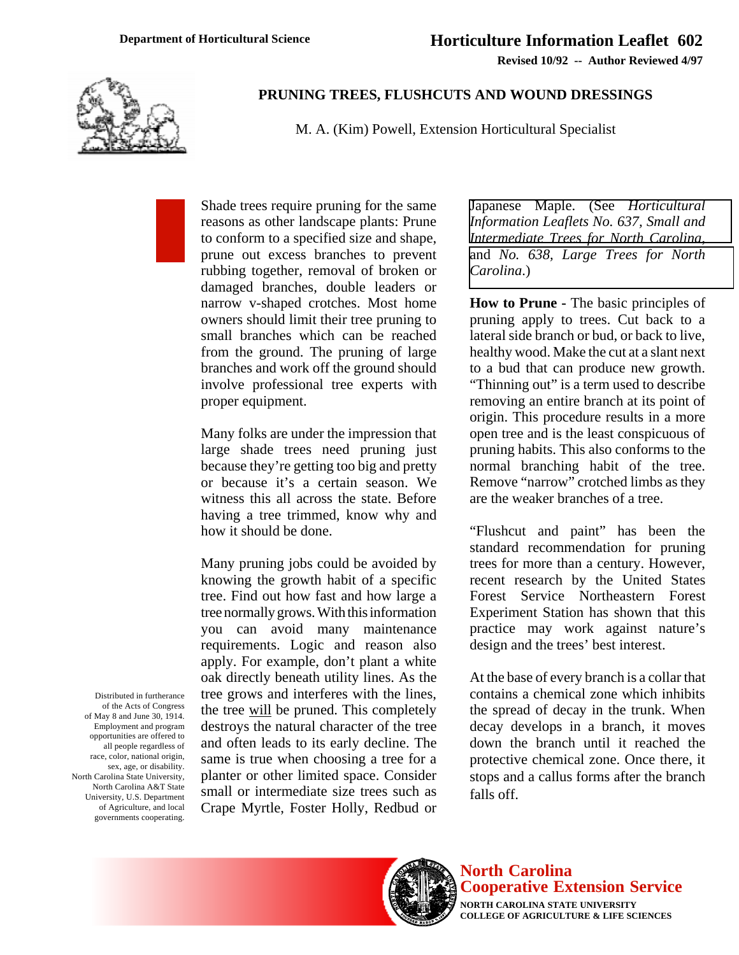**Revised 10/92 -- Author Reviewed 4/97**



## **PRUNING TREES, FLUSHCUTS AND WOUND DRESSINGS**

M. A. (Kim) Powell, Extension Horticultural Specialist

Shade trees require pruning for the same reasons as other landscape plants: Prune to conform to a specified size and shape, prune out excess branches to prevent rubbing together, removal of broken or damaged branches, double leaders or narrow v-shaped crotches. Most home owners should limit their tree pruning to small branches which can be reached from the ground. The pruning of large branches and work off the ground should involve professional tree experts with proper equipment.

Many folks are under the impression that large shade trees need pruning just because they're getting too big and pretty or because it's a certain season. We witness this all across the state. Before having a tree trimmed, know why and how it should be done.

Many pruning jobs could be avoided by knowing the growth habit of a specific tree. Find out how fast and how large a tree normally grows. With this information you can avoid many maintenance requirements. Logic and reason also apply. For example, don't plant a white oak directly beneath utility lines. As the tree grows and interferes with the lines, the tree will be pruned. This completely destroys the natural character of the tree and often leads to its early decline. The same is true when choosing a tree for a planter or other limited space. Consider small or intermediate size trees such as Crape Myrtle, Foster Holly, Redbud or Japanese Maple. (See *Horticultural [Information Leaflets No. 637, Small and](http://www.ces.ncsu.edu/depts/hort/hil/hil-637.html) Intermediate Trees for North Carolina*, and *[No. 638, Large Trees for North](http://www.ces.ncsu.edu/depts/hort/hil//hil-638.html) Carolina*.)

**How to Prune -** The basic principles of pruning apply to trees. Cut back to a lateral side branch or bud, or back to live, healthy wood. Make the cut at a slant next to a bud that can produce new growth. "Thinning out" is a term used to describe removing an entire branch at its point of origin. This procedure results in a more open tree and is the least conspicuous of pruning habits. This also conforms to the normal branching habit of the tree. Remove "narrow" crotched limbs as they are the weaker branches of a tree.

"Flushcut and paint" has been the standard recommendation for pruning trees for more than a century. However, recent research by the United States Forest Service Northeastern Forest Experiment Station has shown that this practice may work against nature's design and the trees' best interest.

At the base of every branch is a collar that contains a chemical zone which inhibits the spread of decay in the trunk. When decay develops in a branch, it moves down the branch until it reached the protective chemical zone. Once there, it stops and a callus forms after the branch falls off.

Distributed in furtherance of the Acts of Congress of May 8 and June 30, 1914. Employment and program opportunities are offered to all people regardless of race, color, national origin, sex, age, or disability. North Carolina State University, North Carolina A&T State University, U.S. Department of Agriculture, and local governments cooperating.



**COLLEGE OF AGRICULTURE & LIFE SCIENCES**